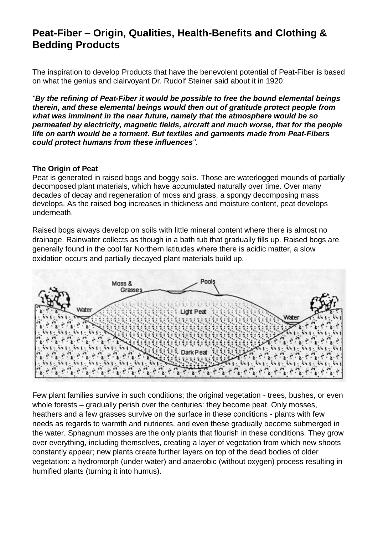# **Peat-Fiber – Origin, Qualities, Health-Benefits and Clothing & Bedding Products**

The inspiration to develop Products that have the benevolent potential of Peat-Fiber is based on what the genius and clairvoyant Dr. Rudolf Steiner said about it in 1920:

*"By the refining of Peat-Fiber it would be possible to free the bound elemental beings therein, and these elemental beings would then out of gratitude protect people from what was imminent in the near future, namely that the atmosphere would be so permeated by electricity, magnetic fields, aircraft and much worse, that for the people life on earth would be a torment. But textiles and garments made from Peat-Fibers could protect humans from these influences".*

#### **The Origin of Peat**

Peat is generated in raised bogs and boggy soils. Those are waterlogged mounds of partially decomposed plant materials, which have accumulated naturally over time. Over many decades of decay and regeneration of moss and grass, a spongy decomposing mass develops. As the raised bog increases in thickness and moisture content, peat develops underneath.

Raised bogs always develop on soils with little mineral content where there is almost no drainage. Rainwater collects as though in a bath tub that gradually fills up. Raised bogs are generally found in the cool far Northern latitudes where there is acidic matter, a slow oxidation occurs and partially decayed plant materials build up.



Few plant families survive in such conditions; the original vegetation - trees, bushes, or even whole forests – gradually perish over the centuries: they become peat. Only mosses, heathers and a few grasses survive on the surface in these conditions - plants with few needs as regards to warmth and nutrients, and even these gradually become submerged in the water. Sphagnum mosses are the only plants that flourish in these conditions. They grow over everything, including themselves, creating a layer of vegetation from which new shoots constantly appear; new plants create further layers on top of the dead bodies of older vegetation: a hydromorph (under water) and anaerobic (without oxygen) process resulting in humified plants (turning it into humus).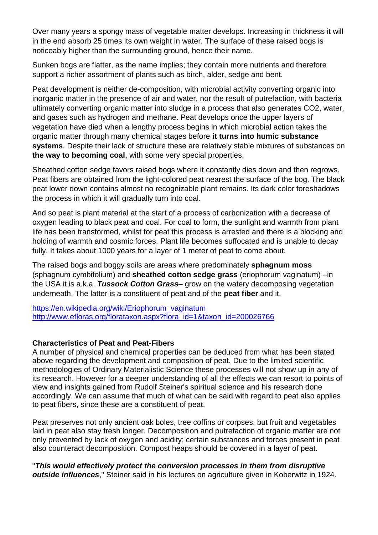Over many years a spongy mass of vegetable matter develops. Increasing in thickness it will in the end absorb 25 times its own weight in water. The surface of these raised bogs is noticeably higher than the surrounding ground, hence their name.

Sunken bogs are flatter, as the name implies; they contain more nutrients and therefore support a richer assortment of plants such as birch, alder, sedge and bent.

Peat development is neither de-composition, with microbial activity converting organic into inorganic matter in the presence of air and water, nor the result of putrefaction, with bacteria ultimately converting organic matter into sludge in a process that also generates CO2, water, and gases such as hydrogen and methane. Peat develops once the upper layers of vegetation have died when a lengthy process begins in which microbial action takes the organic matter through many chemical stages before **it turns into humic substance systems**. Despite their lack of structure these are relatively stable mixtures of substances on **the way to becoming coal**, with some very special properties.

Sheathed cotton sedge favors raised bogs where it constantly dies down and then regrows. Peat fibers are obtained from the light-colored peat nearest the surface of the bog. The black peat lower down contains almost no recognizable plant remains. Its dark color foreshadows the process in which it will gradually turn into coal.

And so peat is plant material at the start of a process of carbonization with a decrease of oxygen leading to black peat and coal. For coal to form, the sunlight and warmth from plant life has been transformed, whilst for peat this process is arrested and there is a blocking and holding of warmth and cosmic forces. Plant life becomes suffocated and is unable to decay fully. It takes about 1000 years for a layer of 1 meter of peat to come about.

The raised bogs and boggy soils are areas where predominately **sphagnum moss** (sphagnum cymbifolium) and **sheathed cotton sedge grass** (eriophorum vaginatum) –in the USA it is a.k.a. *Tussock Cotton Grass*– grow on the watery decomposing vegetation underneath. The latter is a constituent of peat and of the **peat fiber** and it.

[https://en.wikipedia.org/wiki/Eriophorum\\_vaginatum](https://en.wikipedia.org/wiki/Eriophorum_vaginatum) [http://www.efloras.org/florataxon.aspx?flora\\_id=1&taxon\\_id=200026766](http://www.efloras.org/florataxon.aspx?flora_id=1&taxon_id=200026766)

### **Characteristics of Peat and Peat-Fibers**

A number of physical and chemical properties can be deduced from what has been stated above regarding the development and composition of peat. Due to the limited scientific methodologies of Ordinary Materialistic Science these processes will not show up in any of its research. However for a deeper understanding of all the effects we can resort to points of view and insights gained from Rudolf Steiner's spiritual science and his research done accordingly. We can assume that much of what can be said with regard to peat also applies to peat fibers, since these are a constituent of peat.

Peat preserves not only ancient oak boles, tree coffins or corpses, but fruit and vegetables laid in peat also stay fresh longer. Decomposition and putrefaction of organic matter are not only prevented by lack of oxygen and acidity; certain substances and forces present in peat also counteract decomposition. Compost heaps should be covered in a layer of peat.

"*This would effectively protect the conversion processes in them from disruptive outside influences*," Steiner said in his lectures on agriculture given in Koberwitz in 1924.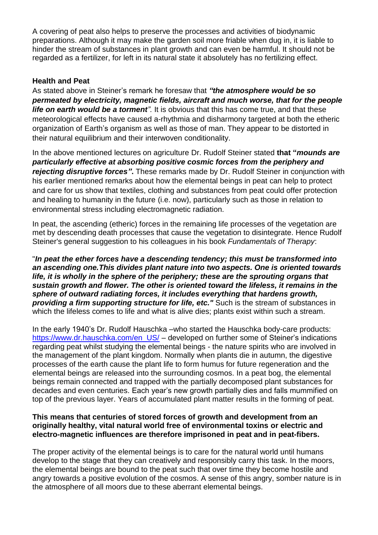A covering of peat also helps to preserve the processes and activities of biodynamic preparations. Although it may make the garden soil more friable when dug in, it is liable to hinder the stream of substances in plant growth and can even be harmful. It should not be regarded as a fertilizer, for left in its natural state it absolutely has no fertilizing effect.

### **Health and Peat**

As stated above in Steiner's remark he foresaw that *"the atmosphere would be so permeated by electricity, magnetic fields, aircraft and much worse, that for the people life on earth would be a torment*<sup>"</sup>. It is obvious that this has come true, and that these meteorological effects have caused a-rhythmia and disharmony targeted at both the etheric organization of Earth's organism as well as those of man. They appear to be distorted in their natural equilibrium and their interwoven conditionality.

In the above mentioned lectures on agriculture Dr. Rudolf Steiner stated **that "***mounds are particularly effective at absorbing positive cosmic forces from the periphery and rejecting disruptive forces"***.** These remarks made by Dr. Rudolf Steiner in conjunction with his earlier mentioned remarks about how the elemental beings in peat can help to protect and care for us show that textiles, clothing and substances from peat could offer protection and healing to humanity in the future (i.e. now), particularly such as those in relation to environmental stress including electromagnetic radiation.

In peat, the ascending (etheric) forces in the remaining life processes of the vegetation are met by descending death processes that cause the vegetation to disintegrate. Hence Rudolf Steiner's general suggestion to his colleagues in his book *Fundamentals of Therapy*:

"*In peat the ether forces have a descending tendency; this must be transformed into an ascending one.This divides plant nature into two aspects. One is oriented towards life, it is wholly in the sphere of the periphery; these are the sprouting organs that sustain growth and flower. The other is oriented toward the lifeless, it remains in the sphere of outward radiating forces, it includes everything that hardens growth, providing a firm supporting structure for life, etc."* Such is the stream of substances in which the lifeless comes to life and what is alive dies; plants exist within such a stream.

In the early 1940's Dr. Rudolf Hauschka –who started the Hauschka body-care products: [https://www.dr.hauschka.com/en\\_US/](https://www.dr.hauschka.com/en_US/) – developed on further some of Steiner's indications regarding peat whilst studying the elemental beings - the nature spirits who are involved in the management of the plant kingdom. Normally when plants die in autumn, the digestive processes of the earth cause the plant life to form humus for future regeneration and the elemental beings are released into the surrounding cosmos. In a peat bog, the elemental beings remain connected and trapped with the partially decomposed plant substances for decades and even centuries. Each year's new growth partially dies and falls mummified on top of the previous layer. Years of accumulated plant matter results in the forming of peat.

#### **This means that centuries of stored forces of growth and development from an originally healthy, vital natural world free of environmental toxins or electric and electro-magnetic influences are therefore imprisoned in peat and in peat-fibers.**

The proper activity of the elemental beings is to care for the natural world until humans develop to the stage that they can creatively and responsibly carry this task. In the moors, the elemental beings are bound to the peat such that over time they become hostile and angry towards a positive evolution of the cosmos. A sense of this angry, somber nature is in the atmosphere of all moors due to these aberrant elemental beings.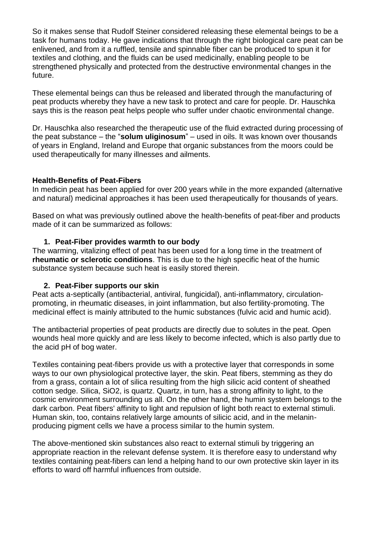So it makes sense that Rudolf Steiner considered releasing these elemental beings to be a task for humans today. He gave indications that through the right biological care peat can be enlivened, and from it a ruffled, tensile and spinnable fiber can be produced to spun it for textiles and clothing, and the fluids can be used medicinally, enabling people to be strengthened physically and protected from the destructive environmental changes in the future.

These elemental beings can thus be released and liberated through the manufacturing of peat products whereby they have a new task to protect and care for people. Dr. Hauschka says this is the reason peat helps people who suffer under chaotic environmental change.

Dr. Hauschka also researched the therapeutic use of the fluid extracted during processing of the peat substance – the "**solum uliginosum**" – used in oils. It was known over thousands of years in England, Ireland and Europe that organic substances from the moors could be used therapeutically for many illnesses and ailments.

#### **Health-Benefits of Peat-Fibers**

In medicin peat has been applied for over 200 years while in the more expanded (alternative and natural) medicinal approaches it has been used therapeutically for thousands of years.

Based on what was previously outlined above the health-benefits of peat-fiber and products made of it can be summarized as follows:

#### **1. Peat-Fiber provides warmth to our body**

The warming, vitalizing effect of peat has been used for a long time in the treatment of **rheumatic or sclerotic conditions**. This is due to the high specific heat of the humic substance system because such heat is easily stored therein.

#### **2. Peat-Fiber supports our skin**

Peat acts a-septically (antibacterial, antiviral, fungicidal), anti-inflammatory, circulationpromoting, in rheumatic diseases, in joint inflammation, but also fertility-promoting. The medicinal effect is mainly attributed to the humic substances (fulvic acid and humic acid).

The antibacterial properties of peat products are directly due to solutes in the peat. Open wounds heal more quickly and are less likely to become infected, which is also partly due to the acid pH of bog water.

Textiles containing peat-fibers provide us with a protective layer that corresponds in some ways to our own physiological protective layer, the skin. Peat fibers, stemming as they do from a grass, contain a lot of silica resulting from the high silicic acid content of sheathed cotton sedge. Silica, SiO2, is quartz. Quartz, in turn, has a strong affinity to light, to the cosmic environment surrounding us all. On the other hand, the humin system belongs to the dark carbon. Peat fibers' affinity to light and repulsion of light both react to external stimuli. Human skin, too, contains relatively large amounts of silicic acid, and in the melaninproducing pigment cells we have a process similar to the humin system.

The above-mentioned skin substances also react to external stimuli by triggering an appropriate reaction in the relevant defense system. It is therefore easy to understand why textiles containing peat-fibers can lend a helping hand to our own protective skin layer in its efforts to ward off harmful influences from outside.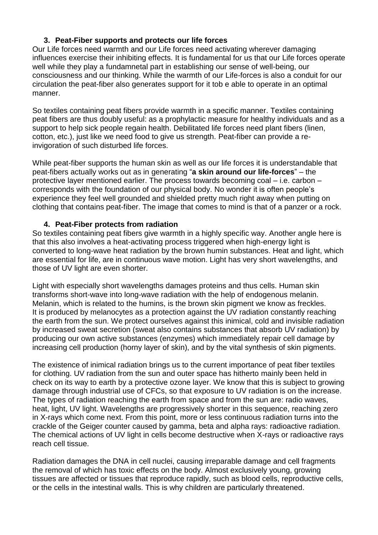# **3. Peat-Fiber supports and protects our life forces**

Our Life forces need warmth and our Life forces need activating wherever damaging influences exercise their inhibiting effects. It is fundamental for us that our Life forces operate well while they play a fundamnetal part in establishing our sense of well-being, our consciousness and our thinking. While the warmth of our Life-forces is also a conduit for our circulation the peat-fiber also generates support for it tob e able to operate in an optimal manner.

So textiles containing peat fibers provide warmth in a specific manner. Textiles containing peat fibers are thus doubly useful: as a prophylactic measure for healthy individuals and as a support to help sick people regain health. Debilitated life forces need plant fibers (linen, cotton, etc.), just like we need food to give us strength. Peat-fiber can provide a reinvigoration of such disturbed life forces.

While peat-fiber supports the human skin as well as our life forces it is understandable that peat-fibers actually works out as in generating "**a skin around our life-forces**" – the protective layer mentioned earlier. The process towards becoming coal – i.e. carbon – corresponds with the foundation of our physical body. No wonder it is often people's experience they feel well grounded and shielded pretty much right away when putting on clothing that contains peat-fiber. The image that comes to mind is that of a panzer or a rock.

# **4. Peat-Fiber protects from radiation**

So textiles containing peat fibers give warmth in a highly specific way. Another angle here is that this also involves a heat-activating process triggered when high-energy light is converted to long-wave heat radiation by the brown humin substances. Heat and light, which are essential for life, are in continuous wave motion. Light has very short wavelengths, and those of UV light are even shorter.

Light with especially short wavelengths damages proteins and thus cells. Human skin transforms short-wave into long-wave radiation with the help of endogenous melanin. Melanin, which is related to the humins, is the brown skin pigment we know as freckles. It is produced by melanocytes as a protection against the UV radiation constantly reaching the earth from the sun. We protect ourselves against this inimical, cold and invisible radiation by increased sweat secretion (sweat also contains substances that absorb UV radiation) by producing our own active substances (enzymes) which immediately repair cell damage by increasing cell production (horny layer of skin), and by the vital synthesis of skin pigments.

The existence of inimical radiation brings us to the current importance of peat fiber textiles for clothing. UV radiation from the sun and outer space has hitherto mainly been held in check on its way to earth by a protective ozone layer. We know that this is subject to growing damage through industrial use of CFCs, so that exposure to UV radiation is on the increase. The types of radiation reaching the earth from space and from the sun are: radio waves, heat, light, UV light. Wavelengths are progressively shorter in this sequence, reaching zero in X-rays which come next. From this point, more or less continuous radiation turns into the crackle of the Geiger counter caused by gamma, beta and alpha rays: radioactive radiation. The chemical actions of UV light in cells become destructive when X-rays or radioactive rays reach cell tissue.

Radiation damages the DNA in cell nuclei, causing irreparable damage and cell fragments the removal of which has toxic effects on the body. Almost exclusively young, growing tissues are affected or tissues that reproduce rapidly, such as blood cells, reproductive cells, or the cells in the intestinal walls. This is why children are particularly threatened.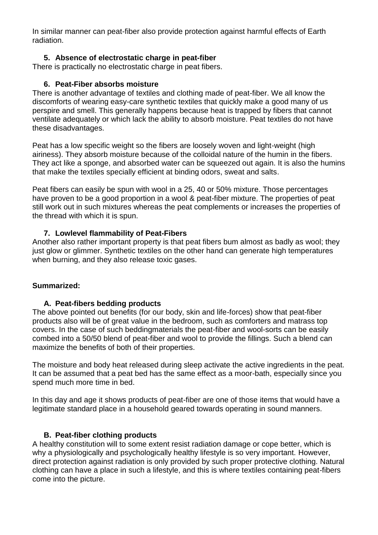In similar manner can peat-fiber also provide protection against harmful effects of Earth radiation.

# **5. Absence of electrostatic charge in peat-fiber**

There is practically no electrostatic charge in peat fibers.

### **6. Peat-Fiber absorbs moisture**

There is another advantage of textiles and clothing made of peat-fiber. We all know the discomforts of wearing easy-care synthetic textiles that quickly make a good many of us perspire and smell. This generally happens because heat is trapped by fibers that cannot ventilate adequately or which lack the ability to absorb moisture. Peat textiles do not have these disadvantages.

Peat has a low specific weight so the fibers are loosely woven and light-weight (high airiness). They absorb moisture because of the colloidal nature of the humin in the fibers. They act like a sponge, and absorbed water can be squeezed out again. It is also the humins that make the textiles specially efficient at binding odors, sweat and salts.

Peat fibers can easily be spun with wool in a 25, 40 or 50% mixture. Those percentages have proven to be a good proportion in a wool & peat-fiber mixture. The properties of peat still work out in such mixtures whereas the peat complements or increases the properties of the thread with which it is spun.

# **7. Lowlevel flammability of Peat-Fibers**

Another also rather important property is that peat fibers bum almost as badly as wool; they just glow or glimmer. Synthetic textiles on the other hand can generate high temperatures when burning, and they also release toxic gases.

### **Summarized:**

### **A. Peat-fibers bedding products**

The above pointed out benefits (for our body, skin and life-forces) show that peat-fiber products also will be of great value in the bedroom, such as comforters and matrass top covers. In the case of such beddingmaterials the peat-fiber and wool-sorts can be easily combed into a 50/50 blend of peat-fiber and wool to provide the fillings. Such a blend can maximize the benefits of both of their properties.

The moisture and body heat released during sleep activate the active ingredients in the peat. It can be assumed that a peat bed has the same effect as a moor-bath, especially since you spend much more time in bed.

In this day and age it shows products of peat-fiber are one of those items that would have a legitimate standard place in a household geared towards operating in sound manners.

### **B. Peat-fiber clothing products**

A healthy constitution will to some extent resist radiation damage or cope better, which is why a physiologically and psychologically healthy lifestyle is so very important. However, direct protection against radiation is only provided by such proper protective clothing. Natural clothing can have a place in such a lifestyle, and this is where textiles containing peat-fibers come into the picture.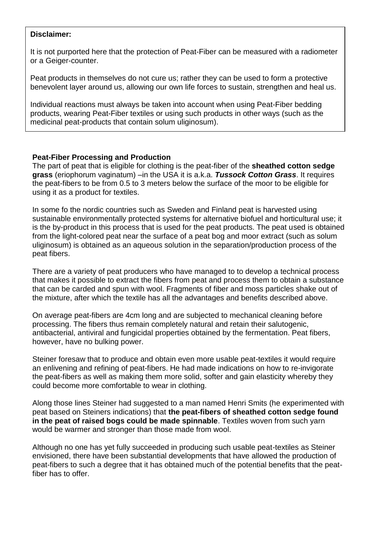#### **Disclaimer:**

It is not purported here that the protection of Peat-Fiber can be measured with a radiometer or a Geiger-counter.

Peat products in themselves do not cure us; rather they can be used to form a protective benevolent layer around us, allowing our own life forces to sustain, strengthen and heal us.

Individual reactions must always be taken into account when using Peat-Fiber bedding products, wearing Peat-Fiber textiles or using such products in other ways (such as the medicinal peat-products that contain solum uliginosum).

#### **Peat-Fiber Processing and Production**

The part of peat that is eligible for clothing is the peat-fiber of the **sheathed cotton sedge grass** (eriophorum vaginatum) –in the USA it is a.k.a. *Tussock Cotton Grass*. It requires the peat-fibers to be from 0.5 to 3 meters below the surface of the moor to be eligible for using it as a product for textiles.

In some fo the nordic countries such as Sweden and Finland peat is harvested using sustainable environmentally protected systems for alternative biofuel and horticultural use; it is the by-product in this process that is used for the peat products. The peat used is obtained from the light-colored peat near the surface of a peat bog and moor extract (such as solum uliginosum) is obtained as an aqueous solution in the separation/production process of the peat fibers.

There are a variety of peat producers who have managed to to develop a technical process that makes it possible to extract the fibers from peat and process them to obtain a substance that can be carded and spun with wool. Fragments of fiber and moss particles shake out of the mixture, after which the textile has all the advantages and benefits described above.

On average peat-fibers are 4cm long and are subjected to mechanical cleaning before processing. The fibers thus remain completely natural and retain their salutogenic, antibacterial, antiviral and fungicidal properties obtained by the fermentation. Peat fibers, however, have no bulking power.

Steiner foresaw that to produce and obtain even more usable peat-textiles it would require an enlivening and refining of peat-fibers. He had made indications on how to re-invigorate the peat-fibers as well as making them more solid, softer and gain elasticity whereby they could become more comfortable to wear in clothing.

Along those lines Steiner had suggested to a man named Henri Smits (he experimented with peat based on Steiners indications) that **the peat-fibers of sheathed cotton sedge found in the peat of raised bogs could be made spinnable**. Textiles woven from such yarn would be warmer and stronger than those made from wool.

Although no one has yet fully succeeded in producing such usable peat-textiles as Steiner envisioned, there have been substantial developments that have allowed the production of peat-fibers to such a degree that it has obtained much of the potential benefits that the peatfiber has to offer.